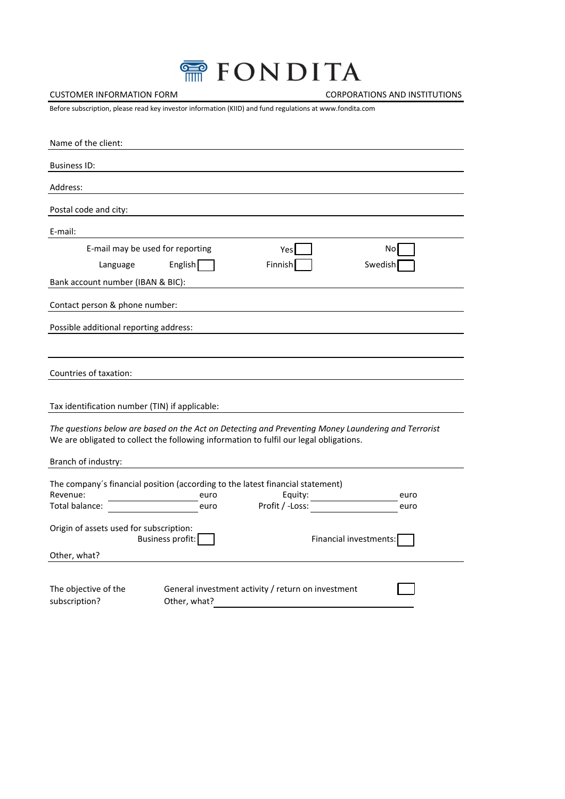| 需 FONDITA |  |  |  |  |
|-----------|--|--|--|--|
|           |  |  |  |  |

CUSTOMER INFORMATION FORM CORPORATIONS AND INSTITUTIONS

Before subscription, please read key investor information (KIID) and fund regulations at www.fondita.com

| Name of the client:                                                                                                                                                                           |
|-----------------------------------------------------------------------------------------------------------------------------------------------------------------------------------------------|
| <b>Business ID:</b>                                                                                                                                                                           |
| Address:                                                                                                                                                                                      |
| Postal code and city:                                                                                                                                                                         |
| E-mail:                                                                                                                                                                                       |
| E-mail may be used for reporting<br>Nol<br>Yes<br>English<br>Finnish<br>Swedish<br>Language<br>Bank account number (IBAN & BIC):                                                              |
| Contact person & phone number:                                                                                                                                                                |
| Possible additional reporting address:                                                                                                                                                        |
|                                                                                                                                                                                               |
| Countries of taxation:                                                                                                                                                                        |
| Tax identification number (TIN) if applicable:                                                                                                                                                |
| The questions below are based on the Act on Detecting and Preventing Money Laundering and Terrorist<br>We are obligated to collect the following information to fulfil our legal obligations. |
| Branch of industry:                                                                                                                                                                           |
| The company's financial position (according to the latest financial statement)<br>Revenue:<br>Equity:<br>euro<br>euro<br>Profit / -Loss:<br>Total balance:<br>euro<br>euro                    |
| Origin of assets used for subscription:<br>Business profit:<br>Financial investments:                                                                                                         |
| Other, what?                                                                                                                                                                                  |
| The objective of the<br>General investment activity / return on investment<br>subscription?<br>Other, what?                                                                                   |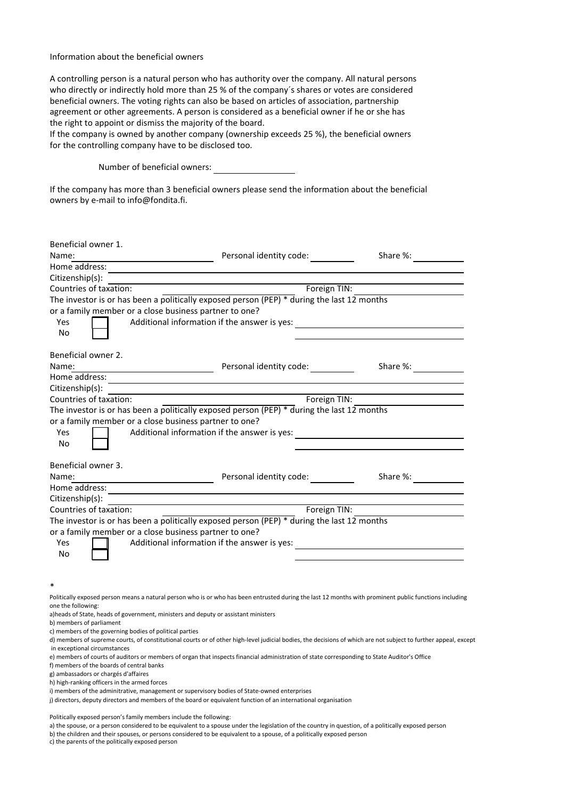## Information about the beneficial owners

A controlling person is a natural person who has authority over the company. All natural persons who directly or indirectly hold more than 25 % of the company´s shares or votes are considered beneficial owners. The voting rights can also be based on articles of association, partnership agreement or other agreements. A person is considered as a beneficial owner if he or she has the right to appoint or dismiss the majority of the board.

If the company is owned by another company (ownership exceeds 25 %), the beneficial owners for the controlling company have to be disclosed too.

Number of beneficial owners:

If the company has more than 3 beneficial owners please send the information about the beneficial owners by e-mail to info@fondita.fi.

| Beneficial owner 1.                                                                                                                                                                             |                         |                                              |  |  |  |  |  |
|-------------------------------------------------------------------------------------------------------------------------------------------------------------------------------------------------|-------------------------|----------------------------------------------|--|--|--|--|--|
| Name:                                                                                                                                                                                           | Personal identity code: | Share %:                                     |  |  |  |  |  |
| Home address:                                                                                                                                                                                   |                         |                                              |  |  |  |  |  |
| Citizenship(s):                                                                                                                                                                                 |                         |                                              |  |  |  |  |  |
| Countries of taxation:                                                                                                                                                                          |                         | Foreign TIN:                                 |  |  |  |  |  |
| The investor is or has been a politically exposed person (PEP) $*$ during the last 12 months                                                                                                    |                         |                                              |  |  |  |  |  |
| or a family member or a close business partner to one?                                                                                                                                          |                         |                                              |  |  |  |  |  |
| Additional information if the answer is yes:<br>Yes                                                                                                                                             |                         |                                              |  |  |  |  |  |
| No                                                                                                                                                                                              |                         |                                              |  |  |  |  |  |
| Beneficial owner 2.                                                                                                                                                                             |                         |                                              |  |  |  |  |  |
| Name:                                                                                                                                                                                           | Personal identity code: | Share %:                                     |  |  |  |  |  |
|                                                                                                                                                                                                 |                         |                                              |  |  |  |  |  |
| Citizenship(s):                                                                                                                                                                                 |                         |                                              |  |  |  |  |  |
| Countries of taxation:                                                                                                                                                                          |                         | Foreign TIN:                                 |  |  |  |  |  |
| The investor is or has been a politically exposed person (PEP) $*$ during the last 12 months                                                                                                    |                         |                                              |  |  |  |  |  |
| or a family member or a close business partner to one?                                                                                                                                          |                         |                                              |  |  |  |  |  |
| Additional information if the answer is yes:<br>Yes                                                                                                                                             |                         | <u> 1989 - Andrea Andrew Maria (b. 1989)</u> |  |  |  |  |  |
| No                                                                                                                                                                                              |                         |                                              |  |  |  |  |  |
| Beneficial owner 3.                                                                                                                                                                             |                         |                                              |  |  |  |  |  |
| Name:                                                                                                                                                                                           | Personal identity code: | Share %:                                     |  |  |  |  |  |
| Home address:                                                                                                                                                                                   |                         |                                              |  |  |  |  |  |
| Citizenship(s):                                                                                                                                                                                 |                         |                                              |  |  |  |  |  |
| Countries of taxation:                                                                                                                                                                          |                         | Foreign TIN:                                 |  |  |  |  |  |
| The investor is or has been a politically exposed person (PEP) $*$ during the last 12 months                                                                                                    |                         |                                              |  |  |  |  |  |
| or a family member or a close business partner to one?                                                                                                                                          |                         |                                              |  |  |  |  |  |
| Additional information if the answer is yes:<br><b>Yes</b>                                                                                                                                      |                         |                                              |  |  |  |  |  |
| No                                                                                                                                                                                              |                         |                                              |  |  |  |  |  |
|                                                                                                                                                                                                 |                         |                                              |  |  |  |  |  |
|                                                                                                                                                                                                 |                         |                                              |  |  |  |  |  |
|                                                                                                                                                                                                 |                         |                                              |  |  |  |  |  |
| Politically exposed person means a natural person who is or who has been entrusted during the last 12 months with prominent public functions including<br>one the following:                    |                         |                                              |  |  |  |  |  |
| a) heads of State, heads of government, ministers and deputy or assistant ministers                                                                                                             |                         |                                              |  |  |  |  |  |
| b) members of parliament                                                                                                                                                                        |                         |                                              |  |  |  |  |  |
| c) members of the governing bodies of political parties                                                                                                                                         |                         |                                              |  |  |  |  |  |
| d) members of supreme courts, of constitutional courts or of other high-level judicial bodies, the decisions of which are not subject to further appeal, except<br>in exceptional circumstances |                         |                                              |  |  |  |  |  |

e) members of courts of auditors or members of organ that inspects financial administration of state corresponding to State Auditor's Office

f) members of the boards of central banks

g) ambassadors or chargés d'affaires

h) high-ranking officers in the armed forces

i) members of the adminitrative, management or supervisory bodies of State-owned enterprises

j) directors, deputy directors and members of the board or equivalent function of an international organisation

Politically exposed person's family members include the following:

a) the spouse, or a person considered to be equivalent to a spouse under the legislation of the country in question, of a politically exposed person

b) the children and their spouses, or persons considered to be equivalent to a spouse, of a politically exposed person

c) the parents of the politically exposed person